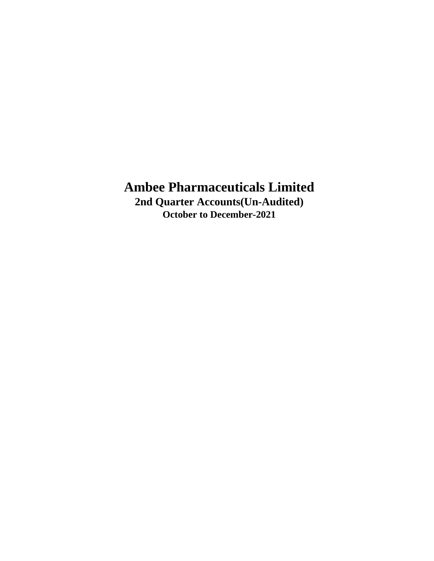**Ambee Pharmaceuticals Limited 2nd Quarter Accounts(Un-Audited)**

**October to December-2021**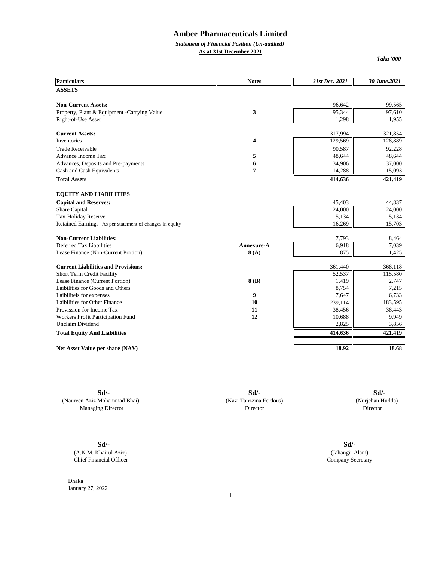*Statement of Financial Position (Un-audited)* **As at 31st December 2021**

*Taka '000*

| <b>Particulars</b>                                       | <b>Notes</b>   | 31st Dec. 2021 | 30 June.2021 |
|----------------------------------------------------------|----------------|----------------|--------------|
| <b>ASSETS</b>                                            |                |                |              |
| <b>Non-Current Assets:</b>                               |                | 96,642         | 99,565       |
| Property, Plant & Equipment - Carrying Value             | 3              | 95,344         | 97,610       |
| Right-of-Use Asset                                       |                | 1,298          | 1,955        |
| <b>Current Assets:</b>                                   |                | 317,994        | 321,854      |
| <b>Inventories</b>                                       | 4              | 129,569        | 128,889      |
| <b>Trade Receivable</b>                                  |                | 90,587         | 92,228       |
| <b>Advance Income Tax</b>                                | 5              | 48,644         | 48,644       |
| Advances, Deposits and Pre-payments                      | 6              | 34,906         | 37,000       |
| Cash and Cash Equivalents                                | $\overline{7}$ | 14,288         | 15,093       |
| <b>Total Assets</b>                                      |                | 414,636        | 421,419      |
| <b>EQUITY AND LIABILITIES</b>                            |                |                |              |
| <b>Capital and Reserves:</b>                             |                | 45,403         | 44,837       |
| Share Capital                                            |                | 24,000         | 24,000       |
| Tax-Holiday Reserve                                      |                | 5,134          | 5,134        |
| Retained Earnings- As per statement of changes in equity |                | 16,269         | 15,703       |
| <b>Non-Current Liabilities:</b>                          |                | 7,793          | 8,464        |
| Deferred Tax Liabilities                                 | Annexure-A     | 6,918          | 7,039        |
| Lease Finance (Non-Current Portion)                      | 8(A)           | 875            | 1,425        |
| <b>Current Liabilities and Provisions:</b>               |                | 361,440        | 368,118      |
| Short Term Credit Facility                               |                | 52,537         | 115,580      |
| Lease Finance (Current Portion)                          | 8(B)           | 1,419          | 2,747        |
| Laibilities for Goods and Others                         |                | 8,754          | 7,215        |
| Laibiliteis for expenses                                 | 9              | 7,647          | 6,733        |
| Laibilities for Other Finance                            | 10             | 239,114        | 183,595      |
| Provission for Income Tax                                | 11             | 38,456         | 38,443       |
| Workers Profit Participation Fund                        | 12             | 10,688         | 9,949        |
| <b>Unclaim Dividend</b>                                  |                | 2,825          | 3,856        |
| <b>Total Equity And Liabilities</b>                      |                | 414,636        | 421,419      |
| Net Asset Value per share (NAV)                          |                | 18.92          | 18.68        |

**Sd/- Sd/- Sd/-** (Naureen Aziz Mohammad Bhai) (Kazi Tanzzina Ferdous) (Nurjehan Hudda) Managing Director Director Director Director Director Director

**Sd/-** (Jahangir Alam) Company Secretary

**Sd/-** (A.K.M. Khairul Aziz) Chief Financial Officer

Dhaka January 27, 2022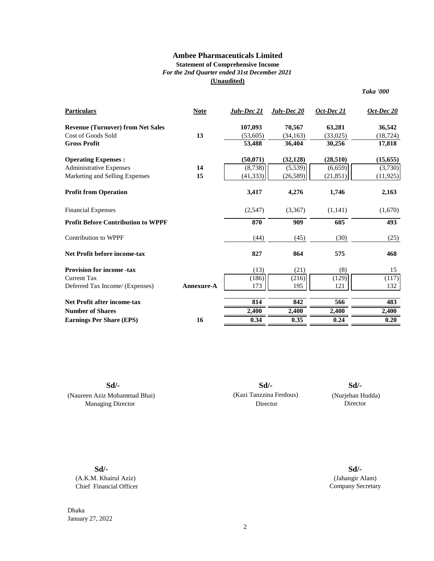### **Statement of Comprehensive Income** *For the 2nd Quarter ended 31st December 2021*

**(Unaudited)**

*Taka '000*

| <b>Particulars</b>                        | <b>Note</b>       | July-Dec 21 | July-Dec 20 | Oct-Dec 21 | $Oct\text{-}Dec\ 20$ |
|-------------------------------------------|-------------------|-------------|-------------|------------|----------------------|
| <b>Revenue (Turnover) from Net Sales</b>  |                   | 107,093     | 70,567      | 63,281     | 36,542               |
| Cost of Goods Sold                        | 13                | (53,605)    | (34, 163)   | (33,025)   | (18, 724)            |
| <b>Gross Profit</b>                       |                   | 53,488      | 36,404      | 30,256     | 17,818               |
| <b>Operating Expenses:</b>                |                   | (50, 071)   | (32, 128)   | (28, 510)  | (15, 655)            |
| <b>Administrative Expenses</b>            | 14                | (8,738)     | (5,539)     | (6, 659)   | (3,730)              |
| Marketing and Selling Expenses            | 15                | (41, 333)   | (26, 589)   | (21, 851)  | (11, 925)            |
| <b>Profit from Operation</b>              |                   | 3,417       | 4,276       | 1,746      | 2,163                |
| <b>Financial Expenses</b>                 |                   | (2,547)     | (3,367)     | (1,141)    | (1,670)              |
| <b>Profit Before Contribution to WPPF</b> |                   | 870         | 909         | 605        | 493                  |
| Contribution to WPPF                      |                   | (44)        | (45)        | (30)       | (25)                 |
| Net Profit before income-tax              |                   | 827         | 864         | 575        | 468                  |
| <b>Provision for income -tax</b>          |                   | (13)        | (21)        | (8)        | 15                   |
| <b>Current Tax</b>                        |                   | (186)       | (216)       | (129)      | (117)                |
| Deferred Tax Income/ (Expenses)           | <b>Annexure-A</b> | 173         | 195         | 121        | 132                  |
| <b>Net Profit after income-tax</b>        |                   | 814         | 842         | 566        | 483                  |
| <b>Number of Shares</b>                   |                   | 2,400       | 2,400       | 2,400      | 2,400                |
| <b>Earnings Per Share (EPS)</b>           | 16                | 0.34        | 0.35        | 0.24       | 0.20                 |

**Sd/-**

(Naureen Aziz Mohammad Bhai) Managing Director

Director (Kazi Tanzzina Ferdous) **Sd/- Sd/-**

(Nurjehan Hudda)

**Sd/-** (A.K.M. Khairul Aziz) Chief Financial Officer

Dhaka January 27, 2022

(Jahangir Alam) Company Secretary **Sd/-**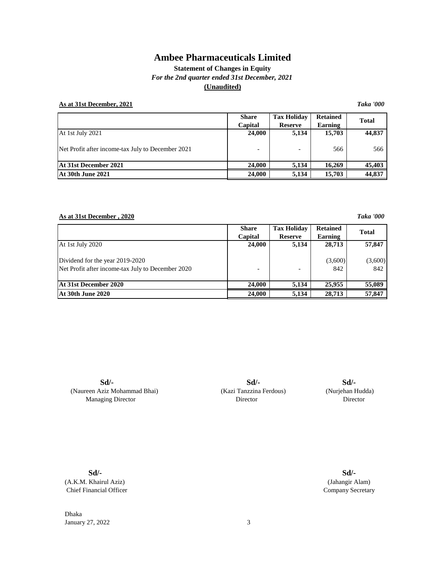### **Statement of Changes in Equity** *For the 2nd quarter ended 31st December, 2021* **(Unaudited)**

### **As at 31st December, 2021** *Taka '000*

**Share Tax Holiday Retained Capital Reserve Earning** At 1st July 2021 **24,000** 5,134 15,703 44,837 Net Profit after income-tax July to December 2021 - 1 - 566 566 566 **At 31st December 2021 24,000 5,134 16,269 45,403 At 30th June 2021** 24,000 5,134 15,703 44,837 **Total**

### **As at 31st December , 2020** *Taka '000*

|                                                                                      | <b>Share</b><br>Capital | <b>Tax Holiday</b><br><b>Reserve</b> | <b>Retained</b><br>Earning | <b>Total</b>   |
|--------------------------------------------------------------------------------------|-------------------------|--------------------------------------|----------------------------|----------------|
| At 1st July 2020                                                                     | 24,000                  | 5,134                                | 28,713                     | 57,847         |
| Dividend for the year 2019-2020<br>Net Profit after income-tax July to December 2020 |                         |                                      | (3,600)<br>842             | (3,600)<br>842 |
| At 31st December 2020                                                                | 24,000                  | 5,134                                | 25,955                     | 55,089         |
| <b>At 30th June 2020</b>                                                             | 24,000                  | 5,134                                | 28,713                     | 57,847         |

**Sd/-** (Naureen Aziz Mohammad Bhai) Managing Director

 Director Director (Kazi Tanzzina Ferdous) (Nurjehan Hudda) **Sd/- Sd/-**

**Sd/-**

(A.K.M. Khairul Aziz) Chief Financial Officer

Dhaka **January 27, 2022** 3

(Jahangir Alam) Company Secretary **Sd/-**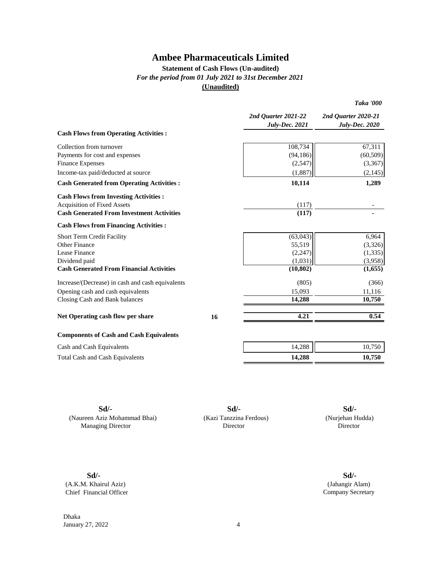### **Statement of Cash Flows (Un-audited)** *For the period from 01 July 2021 to 31st December 2021* **(Unaudited)**

|                                                  |    | 2nd Quarter 2021-22<br><b>July-Dec. 2021</b> | 2nd Quarter 2020-21<br><b>July-Dec. 2020</b> |
|--------------------------------------------------|----|----------------------------------------------|----------------------------------------------|
| <b>Cash Flows from Operating Activities:</b>     |    |                                              |                                              |
| Collection from turnover                         |    | 108,734                                      | 67,311                                       |
| Payments for cost and expenses                   |    | (94, 186)                                    | (60, 509)                                    |
| <b>Finance Expenses</b>                          |    | (2,547)                                      | (3,367)                                      |
| Income-tax paid/deducted at source               |    | (1,887)                                      | (2, 145)                                     |
| <b>Cash Generated from Operating Activities:</b> |    | 10,114                                       | 1,289                                        |
| <b>Cash Flows from Investing Activities:</b>     |    |                                              |                                              |
| <b>Acquisition of Fixed Assets</b>               |    | (117)                                        |                                              |
| <b>Cash Generated From Investment Activities</b> |    | (117)                                        |                                              |
| <b>Cash Flows from Financing Activities:</b>     |    |                                              |                                              |
| Short Term Credit Facility                       |    | (63, 043)                                    | 6,964                                        |
| Other Finance                                    |    | 55,519                                       | (3,326)                                      |
| Lease Finance                                    |    | (2,247)                                      | (1, 335)                                     |
| Dividend paid                                    |    | (1,031)                                      | (3,958)                                      |
| <b>Cash Generated From Financial Activities</b>  |    | (10, 802)                                    | (1,655)                                      |
| Increase/(Decrease) in cash and cash equivalents |    | (805)                                        | (366)                                        |
| Opening cash and cash equivalents                |    | 15,093                                       | 11,116                                       |
| Closing Cash and Bank balances                   |    | 14,288                                       | 10,750                                       |
| Net Operating cash flow per share                | 16 | 4.21                                         | 0.54                                         |
| <b>Components of Cash and Cash Equivalents</b>   |    |                                              |                                              |
| Cash and Cash Equivalents                        |    | 14,288                                       | 10,750                                       |
| <b>Total Cash and Cash Equivalents</b>           |    | 14,288                                       | 10,750                                       |
|                                                  |    |                                              |                                              |

(Naureen Aziz Mohammad Bhai) (Kazi Tanzzina Ferdous) Managing Director Director

**Sd/- Sd/- Sd/-**

 (Nurjehan Hudda) **Director** 

*Taka '000*

(A.K.M. Khairul Aziz) Chief Financial Officer

Dhaka January 27, 2022 4

**Sd/- Sd/-** (Jahangir Alam) Company Secretary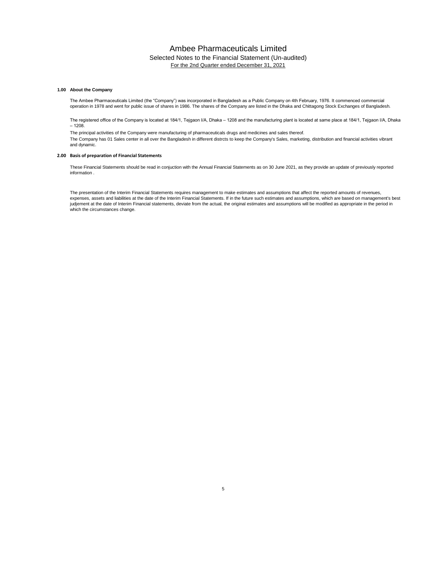### Ambee Pharmaceuticals Limited Selected Notes to the Financial Statement (Un-audited) For the 2nd Quarter ended December 31, 2021

#### **1.00 About the Company**

The Ambee Pharmaceuticals Limited (the "Company") was incorporated in Bangladesh as a Public Company on 4th February, 1976. It commenced commercial operation in 1978 and went for public issue of shares in 1986. The shares of the Company are listed in the Dhaka and Chittagong Stock Exchanges of Bangladesh.

The registered office of the Company is located at 184/1, Tejgaon I/A, Dhaka – 1208 and the manufacturing plant is located at same place at 184/1, Tejgaon I/A, Dhaka  $-1208.$ 

The Company has 01 Sales center in all over the Bangladesh in different distrcts to keep the Company's Sales, marketing, distribution and financial activities vibrant and dynamic. The principal activities of the Company were manufacturing of pharmaceuticals drugs and medicines and sales thereof.

#### **2.00 Basis of preparation of Financial Statements**

These Financial Statements should be read in conjuction with the Annual Financial Statements as on 30 June 2021, as they provide an update of previously reported information .

The presentation of the Interim Financial Statements requires management to make estimates and assumptions that affect the reported amounts of revenues, expenses, assets and liabilities at the date of the Interim Financial Statements. If in the future such estimates and assumptions, which are based on management's best judjement at the date of Interim Financial statements, deviate from the actual, the original estimates and assumptions will be modified as appropriate in the period in which the circumstances change.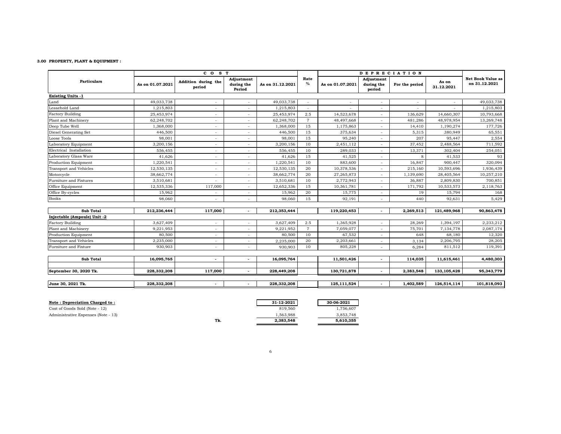#### **3.00 PROPERTY, PLANT & EQUIPMENT :**

|                              |                  | CO <sub>S</sub> T             |                                    |                  |                          | <b>DEPRECIATION</b>     |                                    |                          |                     |                                           |
|------------------------------|------------------|-------------------------------|------------------------------------|------------------|--------------------------|-------------------------|------------------------------------|--------------------------|---------------------|-------------------------------------------|
| <b>Particulars</b>           | As on 01.07.2021 | Addition during the<br>period | Adjustment<br>during the<br>Period | As on 31.12.2021 | Rate<br>$\%$             | As on 01.07.2021        | Adiustment<br>during the<br>period | For the period           | As on<br>31.12.2021 | <b>Net Book Value as</b><br>on 31.12.2021 |
| <b>Existing Units -1</b>     |                  |                               |                                    |                  |                          |                         |                                    |                          |                     |                                           |
| Land                         | 49,033,738       |                               |                                    | 49,033,738       | $\overline{\phantom{a}}$ |                         | $\overline{\phantom{a}}$           | $\overline{\phantom{a}}$ | $\sim$              | 49,033,738                                |
| Leasehold Land               | 1,215,803        |                               |                                    | 1,215,803        |                          |                         |                                    |                          |                     | 1,215,803                                 |
| <b>Factory Building</b>      | 25,453,974       |                               |                                    | 25,453,974       | 2.5                      | 14,523,678              | $\overline{\phantom{a}}$           | 136,629                  | 14,660,307          | 10,793,668                                |
| Plant and Machinery          | 62,248,702       |                               |                                    | 62,248,702       | $\overline{7}$           | 48,497,668              | ٠                                  | 481,286                  | 48,978,954          | 13,269,748                                |
| Deep Tube Well               | 1,368,000        |                               |                                    | 1,368,000        | 15                       | 1,175,863               | $\overline{\phantom{a}}$           | 14,410                   | 1,190,274           | 177,726                                   |
| Diesel Generating Set        | 446,500          |                               |                                    | 446,500          | 15                       | 375,634                 | $\overline{\phantom{a}}$           | 5,315                    | 380,949             | 65,551                                    |
| Loose Tools                  | 98,001           |                               |                                    | 98,001           | 15                       | 95,240                  | $\overline{\phantom{a}}$           | 207                      | 95,447              | 2,554                                     |
| Laboratory Equipment         | 3,200,156        |                               |                                    | 3,200,156        | 10                       | 2,451,112               | $\sim$                             | 37,452                   | 2,488,564           | 711,592                                   |
| Electrical Installation      | 556,455          | ٠                             |                                    | 556,455          | 10                       | 289,033                 | $\sim$                             | 13,371                   | 302,404             | 254,051                                   |
| Laboratory Glass Ware        | 41,626           |                               |                                    | 41,626           | 15                       | 41,525                  | ٠                                  | 8                        | 41,533              | 93                                        |
| Production Equipment         | 1,220,541        | ٠                             |                                    | 1,220,541        | 10                       | 883,600                 | $\overline{\phantom{a}}$           | 16,847                   | 900,447             | 320,094                                   |
| Transport and Vehicles       | 12,530,135       | $\overline{\phantom{a}}$      |                                    | 12,530,135       | 20                       | 10,378,536              | $\overline{\phantom{a}}$           | 215,160                  | 10,593,696          | 1,936,439                                 |
| Motorcycle                   | 38,662,774       |                               |                                    | 38,662,774       | 20                       | 27,265,873              | $\overline{\phantom{a}}$           | 1,139,690                | 28,405,564          | 10,257,210                                |
| Furniture and Fixtures       | 3,510,681        |                               |                                    | 3,510,681        | 10                       | 2,772,943               | $\overline{\phantom{a}}$           | 36,887                   | 2,809,830           | 700,851                                   |
| Office Equipment             | 12,535,336       | 117,000                       | $\sim$                             | 12,652,336       | 15                       | 10,361,781              | $\overline{\phantom{a}}$           | 171,792                  | 10,533,573          | 2,118,763                                 |
| Office By-cycles             | 15,962           |                               |                                    | 15,962           | 20                       | 15,775                  | $\overline{\phantom{a}}$           | 19                       | 15,794              | 168                                       |
| <b>Books</b>                 | 98,060           | ٠                             | $\sim$                             | 98,060           | 15                       | 92,191                  | $\overline{\phantom{a}}$           | 440                      | 92,631              | 5,429                                     |
| <b>Sub Total</b>             | 212,236,444      | 117,000                       | $\overline{\phantom{a}}$           | 212,353,444      |                          | 119,220,453             | $\overline{\phantom{a}}$           | 2,269,513                | 121,489,968         | 90,863,478                                |
| Injectable (Ampoule) Unit -2 |                  |                               |                                    |                  |                          |                         |                                    |                          |                     |                                           |
| <b>Factory Building</b>      | 3,627,409        | $\overline{\phantom{a}}$      |                                    | 3,627,409        | 2.5                      | 1,365,928               | $\overline{\phantom{a}}$           | 28,269                   | 1,394,197           | 2,233,212                                 |
| Plant and Machinery          | 9,221,953        | ٠                             | $\sim$                             | 9,221,952        | $\overline{7}$           | 7,059,077               | $\sim$                             | 75,701                   | 7,134,778           | 2,087,174                                 |
| Production Equipment         | 80,500           | $\overline{\phantom{a}}$      |                                    | 80,500           | 10                       | 67,532                  | $\overline{\phantom{a}}$           | 648                      | 68,180              | 12,320                                    |
| Transport and Vehicles       | 2,235,000        | $\overline{\phantom{a}}$      | $\sim$                             | 2,235,000        | 20                       | 2,203,661               | $\overline{\phantom{a}}$           | 3,134                    | 2,206,795           | 28,205                                    |
| Furniture and Fixture        | 930,903          | $\overline{\phantom{a}}$      | $\sim$                             | 930,903          | 10                       | 805,228                 | $\overline{\phantom{a}}$           | 6,284                    | 811,512             | 119,391                                   |
| <b>Sub Total</b>             | 16,095,765       | $\overline{\phantom{a}}$      | $\overline{\phantom{a}}$           | 16,095,764       |                          | $\overline{11,501,426}$ | $\blacksquare$                     | 114,035                  | 11,615,461          | 4,480,303                                 |
|                              |                  |                               |                                    |                  |                          |                         |                                    |                          |                     |                                           |
| September 30, 2020 Tk.       | 228,332,208      | 117,000                       | $\overline{\phantom{a}}$           | 228,449,208      |                          | 130,721,878             | $\overline{\phantom{a}}$           | 2,383,548                | 133, 105, 428       | 95,343,779                                |
| June 30, 2021 Tk.            | 228,332,208      | $\overline{\phantom{a}}$      | $\sim$                             | 228,332,208      |                          | 125,111,524             | $\sim$                             | 1,402,589                | 126,514,114         | 101,818,093                               |

| Note: Depreciation Charged to:      |     | 31-12-2021 | 30-06-2021 |
|-------------------------------------|-----|------------|------------|
| Cost of Goods Sold (Note - 12)      |     | 819.560    | 1,756,607  |
| Administrative Expenses (Note - 13) |     | 1.563.988  | 3,853,748  |
|                                     | Tk. | 2.383.548  | 5.610.355  |

| 12-2021 | 30-06-2021 |
|---------|------------|
| 819,560 | 1,756,607  |
| 563,988 | 3,853,748  |
| 383.548 | 5,610,355  |
|         |            |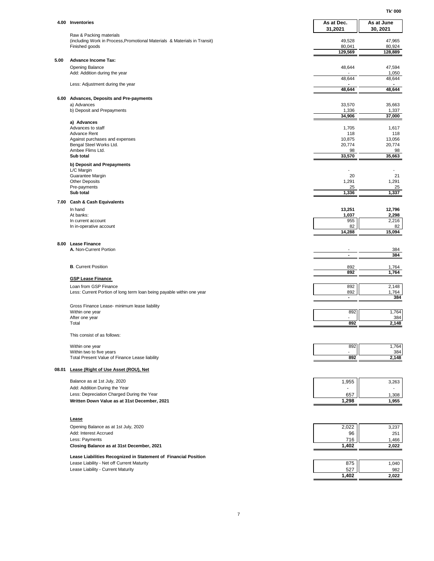**Tk' 000**

|       | 4.00 Inventories                                                                                     | As at Dec.            | As at June        |
|-------|------------------------------------------------------------------------------------------------------|-----------------------|-------------------|
|       |                                                                                                      | 31,2021               | 30, 2021          |
|       | Raw & Packing materials<br>(including Work in Process, Promotional Materials & Materials in Transit) | 49,528                | 47,965            |
|       | Finished goods                                                                                       | 80,041<br>129,569     | 80,924<br>128,889 |
| 5.00  | <b>Advance Income Tax:</b>                                                                           |                       |                   |
|       | <b>Opening Balance</b><br>Add: Addition during the year                                              | 48,644                | 47,594<br>1,050   |
|       | Less: Adjustment during the year                                                                     | 48,644                | 48,644            |
|       |                                                                                                      | 48,644                | 48,644            |
|       | 6.00 Advances, Deposits and Pre-payments                                                             |                       |                   |
|       | a) Advances<br>b) Deposit and Prepayments                                                            | 33,570<br>1,336       | 35,663<br>1,337   |
|       |                                                                                                      | 34,906                | 37,000            |
|       | a) Advances<br>Advances to staff                                                                     | 1,705                 | 1,617             |
|       | <b>Advance Rent</b><br>Against purchases and expenses                                                | 118<br>10,875         | 118<br>13,056     |
|       | Bengal Steel Works Ltd.                                                                              | 20,774                | 20,774            |
|       | Ambee Flims Ltd.<br>Sub total                                                                        | 98<br>33,570          | 98<br>35,663      |
|       | b) Deposit and Prepayments                                                                           |                       |                   |
|       | L/C Margin<br>Guarantee Margin                                                                       | 20                    | 21                |
|       | <b>Other Deposits</b>                                                                                | 1,291                 | 1,291             |
|       | Pre-payments<br>Sub total                                                                            | 25<br>1,336           | 25<br>1,337       |
|       | 7.00 Cash & Cash Equivalents                                                                         |                       |                   |
|       | In hand<br>At banks:                                                                                 | 13,251<br>1,037       | 12,796<br>2,298   |
|       | In current account                                                                                   | 955                   | 2,216             |
|       | In in-operative account                                                                              | 82<br>14,288          | 82<br>15,094      |
|       | 8.00 Lease Finance                                                                                   |                       |                   |
|       | A. Non-Current Portion                                                                               | $\blacksquare$        | 384               |
|       |                                                                                                      | $\blacksquare$        | 384               |
|       | <b>B.</b> Current Position                                                                           | 892                   | 1,764             |
|       | <b>GSP Lease Finance</b>                                                                             | 892                   | 1,764             |
|       | Loan from GSP Finance                                                                                | 892                   | 2,148             |
|       | Less: Current Portion of long term loan being payable within one year                                | 892<br>$\blacksquare$ | 1,764<br>384      |
|       | Gross Finance Lease- minimum lease liability                                                         |                       |                   |
|       | Within one year<br>After one year                                                                    | 892                   | 1,764<br>384      |
|       | Total                                                                                                | 892                   | 2,148             |
|       | This consist of as follows:                                                                          |                       |                   |
|       | Within one year                                                                                      | 892                   | 1,764             |
|       | Within two to five years<br>Total Present Value of Finance Lease liability                           | 892                   | 384<br>2,148      |
| 08.01 | Lease (Right of Use Asset (ROU), Net                                                                 |                       |                   |
|       | Balance as at 1st July, 2020                                                                         | 1,955                 | 3,263             |
|       | Add: Addition During the Year                                                                        |                       |                   |
|       | Less: Depreciation Charged During the Year                                                           | 657                   | 1,308             |
|       | Written Down Value as at 31st December, 2021                                                         | 1,298                 | 1,955             |
|       | Lease                                                                                                |                       |                   |
|       | Opening Balance as at 1st July, 2020                                                                 | 2,022                 | 3,237             |
|       | Add: Interest Accrued<br>Less: Payments                                                              | 96<br>716             | 251               |
|       | Closing Balance as at 31st December, 2021                                                            | 1,402                 | 1,466<br>2,022    |
|       | Lease Liabilities Recognized in Statement of Financial Position                                      |                       |                   |
|       | Lease Liability - Net off Current Maturity                                                           | 875                   | 1,040             |
|       | Lease Liability - Current Maturity                                                                   | 527<br>1,402          | 982<br>2,022      |
|       |                                                                                                      |                       |                   |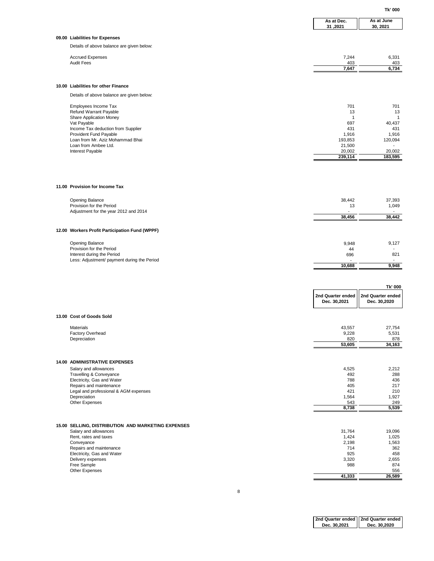|                                                                  |                                   | Tk' 000                           |
|------------------------------------------------------------------|-----------------------------------|-----------------------------------|
|                                                                  | As at Dec.<br>31,2021             | As at June<br>30, 2021            |
| 09.00 Liabilities for Expenses                                   |                                   |                                   |
| Details of above balance are given below:                        |                                   |                                   |
| <b>Accrued Expenses</b>                                          | 7,244                             | 6,331                             |
| <b>Audit Fees</b>                                                | 403<br>7,647                      | 403<br>6,734                      |
|                                                                  |                                   |                                   |
| 10.00 Liabilities for other Finance                              |                                   |                                   |
| Details of above balance are given below:                        |                                   |                                   |
|                                                                  |                                   |                                   |
| Employees Income Tax<br>Refund Warrant Payable                   | 701<br>13                         | 701<br>13                         |
| Share Application Money<br>Vat Payable                           | 1<br>697                          | 1<br>40,437                       |
| Income Tax deduction from Supplier                               | 431                               | 431                               |
| Provident Fund Payable<br>Loan from Mr. Aziz Mohammad Bhai       | 1,916<br>193,853                  | 1,916<br>120,094                  |
| Loan from Ambee Ltd.                                             | 21,500                            |                                   |
| Interest Payable                                                 | 20,002<br>239,114                 | 20,002<br>183,595                 |
|                                                                  |                                   |                                   |
|                                                                  |                                   |                                   |
| 11.00 Provision for Income Tax                                   |                                   |                                   |
| <b>Opening Balance</b>                                           | 38,442                            | 37,393                            |
| Provision for the Period                                         | 13                                | 1,049                             |
| Adjustment for the year 2012 and 2014                            | 38,456                            | 38,442                            |
|                                                                  |                                   |                                   |
| 12.00 Workers Profit Participation Fund (WPPF)                   |                                   |                                   |
| <b>Opening Balance</b>                                           | 9,948                             | 9,127                             |
| Provision for the Period<br>Interest during the Period           | 44<br>696                         | 821                               |
| Less: Adjustment/ payment during the Period                      | 10,688                            | 9,948                             |
|                                                                  |                                   |                                   |
|                                                                  |                                   |                                   |
|                                                                  |                                   | Tk' 000                           |
|                                                                  | 2nd Quarter ended<br>Dec. 30,2021 | 2nd Quarter ended<br>Dec. 30,2020 |
| 13.00 Cost of Goods Sold                                         |                                   |                                   |
| Materials                                                        | 43,557                            | 27,754                            |
| Factory Overhead                                                 | 9,228                             | 5,531                             |
| Depreciation                                                     | 820<br>53,605                     | 878<br>34,163                     |
|                                                                  |                                   |                                   |
| <b>14.00 ADMINISTRATIVE EXPENSES</b>                             |                                   |                                   |
| Salary and allowances                                            | 4,525                             | 2,212                             |
| Travelling & Conveyance<br>Electricity, Gas and Water            | 492<br>788                        | 288<br>436                        |
| Repairs and maintenance<br>Legal and professional & AGM expenses | 405<br>421                        | 217<br>210                        |
| Depreciation                                                     | 1,564                             | 1,927                             |
| Other Expenses                                                   | 543<br>8,738                      | 249<br>5,539                      |
|                                                                  |                                   |                                   |
| 15.00 SELLING, DISTRIBUTION AND MARKETING EXPENSES               |                                   |                                   |
| Salary and allowances                                            | 31,764                            | 19,096                            |
| Rent, rates and taxes<br>Conveyance                              | 1,424<br>2,198                    | 1,025<br>1,563                    |
| Repairs and maintenance                                          | 714<br>925                        | 362                               |
| Electricity, Gas and Water<br>Delivery expenses                  | 3,320                             | 458<br>2,655                      |
| Free Sample<br>Other Expenses                                    | 988                               | 874<br>556                        |
|                                                                  | 41,333                            | 26,589                            |

8

**2nd Quarter ended Dec. 30,2021 2nd Quarter ended Dec. 30,2020**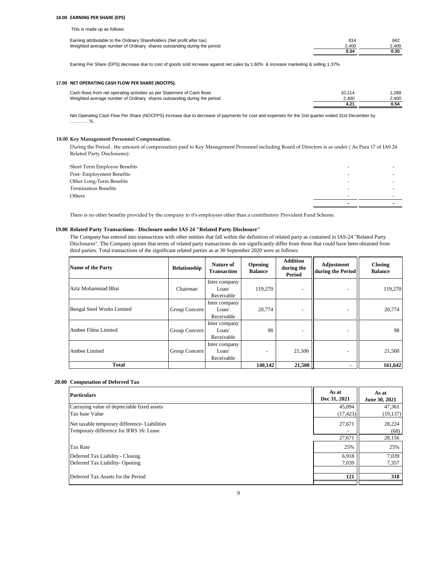#### **16.00 EARNING PER SHARE (EPS)**

This is made up as follows:

| Earning attributable to the Ordinary Shareholders (Net profit after tax) | 814   | 842   |
|--------------------------------------------------------------------------|-------|-------|
| Weighted average number of Ordinary shares outstanding during the period | 2.400 | 2.400 |
|                                                                          | 0.34  |       |

Earning Per Share (EPS) decrease due to cost of goods sold increase against net sales by 1.60% & increase marketing & selling 1.37%.

#### **17.00 NET OPERATING CASH FLOW PER SHARE (NOCFPS).**

| Cash flows from net operating activities as per Statement of Cash flows  | 10.114 | .289  |
|--------------------------------------------------------------------------|--------|-------|
| Weighted average number of Ordinary shares outstanding during the period | 2.400  | 2.400 |
|                                                                          |        | 0.54  |

Net Operating Cash Flow Per Share (NOCFPS) increase due to decrease of payments for cost and expenses for the 2nd quarter ended 31st December by ………….%.

### **18.00 Key Management Personnel Compensation.**

During the Period , the amount of compensation paid to Key Management Personnel including Board of Directors is as under ( As Para 17 of IAS 24 Related Party Disclosures):

| Short Term Employee Benefits |                          |  |
|------------------------------|--------------------------|--|
| Post-Employment Benefits     |                          |  |
| Other Long-Term Benefits     |                          |  |
| <b>Termination Benefits</b>  | $\overline{\phantom{0}}$ |  |
| Others                       | -                        |  |
|                              |                          |  |

There is no other benefits provided by the company to it's employees other than a contributory Provident Fund Scheme.

#### **19.00 Related Party Transactions - Disclosure under IAS 24 "Related Party Disclosure"**

The Company has entered into transactions with other entities that fall within the definition of related party as contained in IAS-24 "Related Party Disclosures". The Company opines that terms of related party transactions do not significantly differ from those that could have been obtained from third parties. Total transactions of the significant related parties as at 30 September 2020 were as follows:

| <b>Name of the Party</b>   | Relationship  | <b>Nature of</b><br><b>Transaction</b> | Opening<br><b>Balance</b> | <b>Addition</b><br>during the<br>Period | Adjustment<br>during the Period | <b>Closing</b><br><b>Balance</b> |
|----------------------------|---------------|----------------------------------------|---------------------------|-----------------------------------------|---------------------------------|----------------------------------|
| Aziz Mohammad Bhai         | Chairman      | Inter company<br>Loan/<br>Receivable   | 119,270                   |                                         |                                 | 119,270                          |
| Bengal Steel Works Limited | Group Concern | Inter company<br>Loan/<br>Receivable   | 20,774                    | $\qquad \qquad -$                       | $\overline{a}$                  | 20,774                           |
| Ambee Films Limited        | Group Concern | Inter company<br>Loan/<br>Receivable   | 98                        | $\qquad \qquad -$                       |                                 | 98                               |
| Ambee Limited              | Group Concern | Inter company<br>Loan/<br>Receivable   | $\overline{\phantom{0}}$  | 21,500                                  | $\overline{a}$                  | 21,500                           |
| <b>Total</b>               |               |                                        | 140.142                   | 21,500                                  |                                 | 161,642                          |

### **20.00 Computation of Deferred Tax**

| <b>Particulars</b>                            | As at<br>Dec 31, 2021 | As at<br>June 30, 2021 |
|-----------------------------------------------|-----------------------|------------------------|
| Carraying value of depreciable fixed assets   | 45,094                | 47,361                 |
| Tax base Value                                | (17, 423)             | (19, 137)              |
| Net taxable temporary difference- Liabilities | 27,671                | 28.224                 |
| Temporary difference for IFRS 16: Lease       |                       | (68)                   |
|                                               | 27,671                | 28,156                 |
| <b>Tax Rate</b>                               | 25%                   | 25%                    |
| Deferred Tax Liability - Closing              | 6,918                 | 7,039                  |
| Deferred Tax Liability-Opening                | 7,039                 | 7,357                  |
|                                               |                       |                        |
| Deferred Tax Assets for the Period            | 121                   | 318                    |
|                                               |                       |                        |